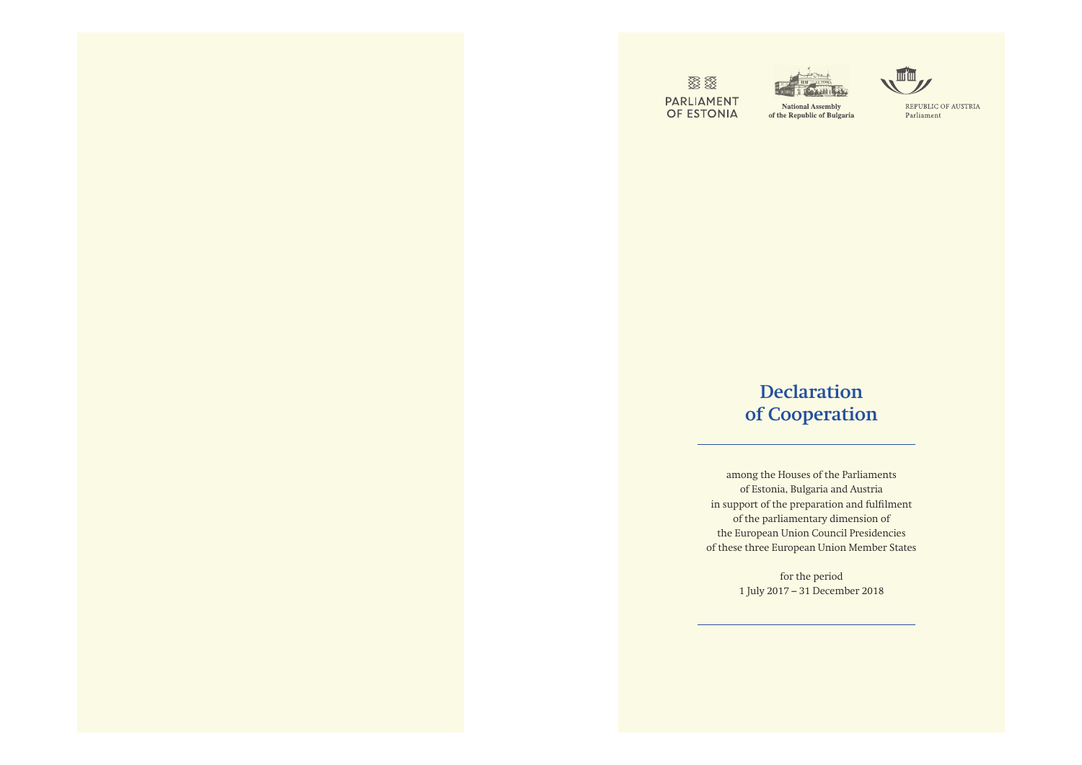**IS** PARLIAMENT<br>OF ESTONIA



**National Assembly** of the Republic of Bulgaria

## **Declaration of Cooperation**

among the Houses of the Parliaments of Estonia, Bulgaria and Austria in support of the preparation and fulfilment of the parliamentary dimension of the European Union Council Presidencies of these three European Union Member States

> for the period 1 July 2017 – 31 December 2018



REPUBLIC OF AUSTRIA Parliament